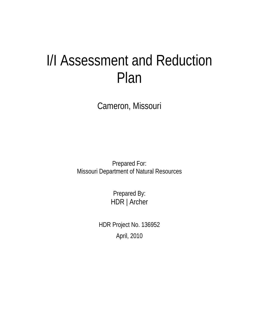# I/I Assessment and Reduction Plan

Cameron, Missouri

Prepared For: Missouri Department of Natural Resources

> Prepared By: HDR | Archer

HDR Project No. 136952 April, 2010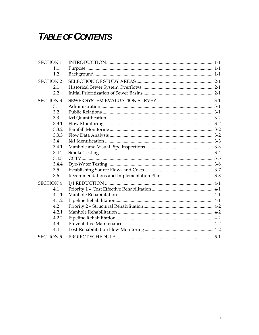## **TABLE OF CONTENTS**

| <b>SECTION 1</b> |  |
|------------------|--|
| 1.1              |  |
| 1.2              |  |
| <b>SECTION 2</b> |  |
| 2.1              |  |
| 2.2              |  |
| <b>SECTION 3</b> |  |
| 3.1              |  |
| 3.2              |  |
| 3.3              |  |
| 3.3.1            |  |
| 3.3.2            |  |
| 3.3.3            |  |
| 3.4              |  |
| 3.4.1            |  |
| 3.4.2            |  |
| 3.4.3            |  |
| 3.4.4            |  |
| 3.5              |  |
| 3.6              |  |
| <b>SECTION 4</b> |  |
| 4.1              |  |
| 4.1.1            |  |
| 4.1.2            |  |
| 4.2              |  |
| 4.2.1            |  |
| 4.2.2            |  |
| 4.3              |  |
| 4.4              |  |
| <b>SECTION 5</b> |  |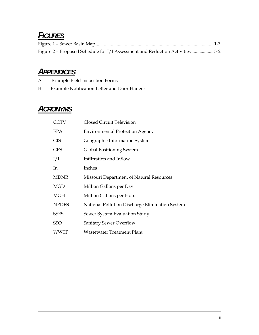## *FIGURES*

| Figure 2 - Proposed Schedule for I/I Assessment and Reduction Activities5-2 |  |
|-----------------------------------------------------------------------------|--|

## *APPENDICES*

- A Example Field Inspection Forms
- B Example Notification Letter and Door Hanger

## *ACRONYMS*

| <b>CCTV</b>  | Closed Circuit Television                       |
|--------------|-------------------------------------------------|
| EPA          | <b>Environmental Protection Agency</b>          |
| <b>GIS</b>   | Geographic Information System                   |
| <b>GPS</b>   | Global Positioning System                       |
| I/I          | Infiltration and Inflow                         |
| In.          | Inches                                          |
| <b>MDNR</b>  | Missouri Department of Natural Resources        |
| <b>MGD</b>   | Million Gallons per Day                         |
| <b>MGH</b>   | Million Gallons per Hour                        |
| <b>NPDES</b> | National Pollution Discharge Elimination System |
| <b>SSES</b>  | Sewer System Evaluation Study                   |
| <b>SSO</b>   | <b>Sanitary Sewer Overflow</b>                  |
| WWTP         | Wastewater Treatment Plant                      |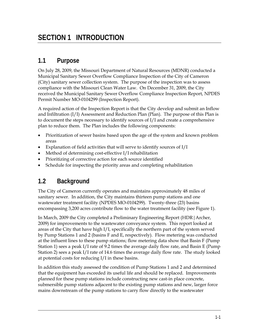## **SECTION 1 INTRODUCTION**

## **1.1 Purpose**

On July 28, 2009, the Missouri Department of Natural Resources (MDNR) conducted a Municipal Sanitary Sewer Overflow Compliance Inspection of the City of Cameron (City) sanitary sewer collection system. The purpose of the inspection was to assess compliance with the Missouri Clean Water Law. On December 31, 2009, the City received the Municipal Sanitary Sewer Overflow Compliance Inspection Report, NPDES Permit Number MO-0104299 (Inspection Report).

A required action of the Inspection Report is that the City develop and submit an Inflow and Infiltration  $(I/I)$  Assessment and Reduction Plan (Plan). The purpose of this Plan is to document the steps necessary to identify sources of I/I and create a comprehensive plan to reduce them. The Plan includes the following components:

- Prioritization of sewer basins based upon the age of the system and known problem areas
- Explanation of field activities that will serve to identify sources of I/I
- Method of determining cost-effective I/I rehabilitation
- Prioritizing of corrective action for each source identified
- Schedule for inspecting the priority areas and completing rehabilitation

## **1.2 Background**

The City of Cameron currently operates and maintains approximately 48 miles of sanitary sewer. In addition, the City maintains thirteen pump stations and one wastewater treatment facility (NPDES MO-0104299). Twenty-three (23) basins encompassing 3,200 acres contribute flow to the water treatment facility (see Figure 1).

In March, 2009 the City completed a Preliminary Engineering Report (HDR|Archer, 2009) for improvements to the wastewater conveyance system. This report looked at areas of the City that have high I/I, specifically the northern part of the system served by Pump Stations 1 and 2 (basins F and E, respectively). Flow metering was conducted at the influent lines to these pump stations; flow metering data show that Basin F (Pump Station 1) sees a peak I/I rate of 9.2 times the average daily flow rate, and Basin E (Pump Station 2) sees a peak I/I rate of 14.6 times the average daily flow rate. The study looked at potential costs for reducing I/I in these basins.

In addition this study assessed the condition of Pump Stations 1 and 2 and determined that the equipment has exceeded its useful life and should be replaced. Improvements planned for these pump stations include constructing new cast-in place concrete, submersible pump stations adjacent to the existing pump stations and new, larger force mains downstream of the pump stations to carry flow directly to the wastewater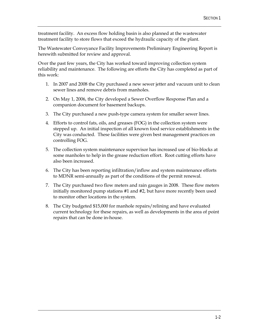treatment facility. An excess flow holding basin is also planned at the wastewater treatment facility to store flows that exceed the hydraulic capacity of the plant.

The Wastewater Conveyance Facility Improvements Preliminary Engineering Report is herewith submitted for review and approval.

Over the past few years, the City has worked toward improving collection system reliability and maintenance. The following are efforts the City has completed as part of this work:

- 1. In 2007 and 2008 the City purchased a new sewer jetter and vacuum unit to clean sewer lines and remove debris from manholes.
- 2. On May 1, 2006, the City developed a Sewer Overflow Response Plan and a companion document for basement backups.
- 3. The City purchased a new push-type camera system for smaller sewer lines.
- 4. Efforts to control fats, oils, and greases (FOG) in the collection system were stepped up. An initial inspection of all known food service establishments in the City was conducted. These facilities were given best management practices on controlling FOG.
- 5. The collection system maintenance supervisor has increased use of bio-blocks at some manholes to help in the grease reduction effort. Root cutting efforts have also been increased.
- 6. The City has been reporting infiltration/inflow and system maintenance efforts to MDNR semi-annually as part of the conditions of the permit renewal.
- 7. The City purchased two flow meters and rain gauges in 2008. These flow meters initially monitored pump stations #1 and #2, but have more recently been used to monitor other locations in the system.
- 8. The City budgeted \$15,000 for manhole repairs/relining and have evaluated current technology for these repairs, as well as developments in the area of point repairs that can be done in-house.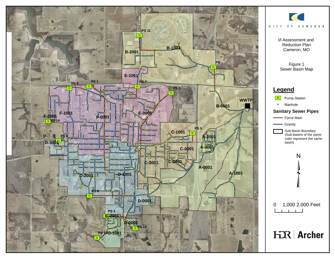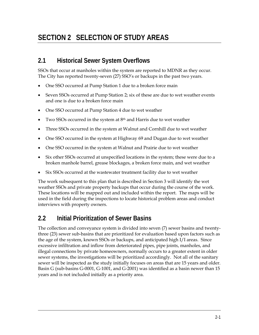## **SECTION 2 SELECTION OF STUDY AREAS**

#### **2.1 Historical Sewer System Overflows**

SSOs that occur at manholes within the system are reported to MDNR as they occur. The City has reported twenty-seven (27) SSO's or backups in the past two years.

- One SSO occurred at Pump Station 1 due to a broken force main
- Seven SSOs occurred at Pump Station 2; six of these are due to wet weather events and one is due to a broken force main
- One SSO occurred at Pump Station 4 due to wet weather
- $\bullet$  Two SSOs occurred in the system at  $8<sup>th</sup>$  and Harris due to wet weather
- Three SSOs occurred in the system at Walnut and Cornhill due to wet weather
- One SSO occurred in the system at Highway 69 and Dugan due to wet weather
- One SSO occurred in the system at Walnut and Prairie due to wet weather
- Six other SSOs occurred at unspecified locations in the system; these were due to a broken manhole barrel, grease blockages, a broken force main, and wet weather
- Six SSOs occurred at the wastewater treatment facility due to wet weather

The work subsequent to this plan that is described in Section 3 will identify the wet weather SSOs and private property backups that occur during the course of the work. These locations will be mapped out and included within the report. The maps will be used in the field during the inspections to locate historical problem areas and conduct interviews with property owners.

## **2.2 Initial Prioritization of Sewer Basins**

The collection and conveyance system is divided into seven (7) sewer basins and twentythree (23) sewer sub-basins that are prioritized for evaluation based upon factors such as the age of the system, known SSOs or backups, and anticipated high I/I areas. Since excessive infiltration and inflow from deteriorated pipes, pipe joints, manholes, and illegal connections by private homeowners, normally occurs to a greater extent in older sewer systems, the investigations will be prioritized accordingly. Not all of the sanitary sewer will be inspected as the study initially focuses on areas that are 15 years and older. Basin G (sub-basins G-0001, G-1001, and G-2001) was identified as a basin newer than 15 years and is not included initially as a priority area.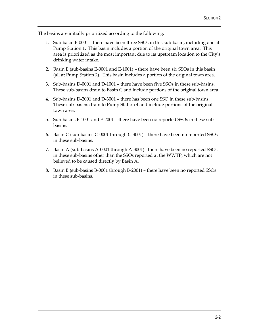The basins are initially prioritized according to the following:

- 1. Sub-basin F-0001 there have been three SSOs in this sub-basin, including one at Pump Station 1. This basin includes a portion of the original town area. This area is prioritized as the most important due to its upstream location to the City's drinking water intake.
- 2. Basin E (sub-basins E-0001 and E-1001) there have been six SSOs in this basin (all at Pump Station 2). This basin includes a portion of the original town area.
- 3. Sub-basins D-0001 and D-1001 there have been five SSOs in these sub-basins. These sub-basins drain to Basin C and include portions of the original town area.
- 4. Sub-basins D-2001 and D-3001 there has been one SSO in these sub-basins. These sub-basins drain to Pump Station 4 and include portions of the original town area.
- 5. Sub-basins F-1001 and F-2001 there have been no reported SSOs in these subbasins.
- 6. Basin C (sub-basins C-0001 through C-3001) there have been no reported SSOs in these sub-basins.
- 7. Basin A (sub-basins A-0001 through A-3001) –there have been no reported SSOs in these sub-basins other than the SSOs reported at the WWTP, which are not believed to be caused directly by Basin A.
- 8. Basin B (sub-basins B-0001 through B-2001) there have been no reported SSOs in these sub-basins.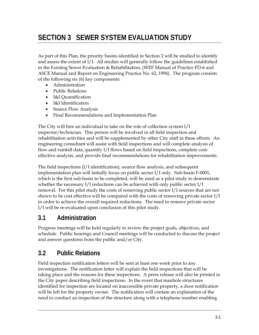## **SECTION 3 SEWER SYSTEM EVALUATION STUDY**

As part of this Plan, the priority basins identified in Section 2 will be studied to identify and assess the extent of I/I. All studies will generally follow the guidelines established in the Existing Sewer Evaluation & Rehabilitation, (WEF Manual of Practice FD-6 and ASCE Manual and Report on Engineering Practice No. 62, 1994). The program consists of the following six (6) key components:

- Administration
- Public Relations
- I&I Quantification
- I&I Identification
- Source Flow Analysis
- Final Recommendations and Implementation Plan

The City will hire an individual to take on the role of collection system I/I inspector/technician. This person will be involved in all field inspection and rehabilitation activities and will be supplemented by other City staff in these efforts. An engineering consultant will assist with field inspections and will complete analysis of flow and rainfall data, quantify I/I flows based on field inspections, complete costeffective analysis, and provide final recommendations for rehabilitation improvements.

The field inspections (I/I identification), source flow analysis, and subsequent implementation plan will initially focus on public sector I/I only. Sub-basin F-0001, which is the first sub-basin to be completed, will be used as a pilot study to demonstrate whether the necessary I/I reductions can be achieved with only public sector I/I removal. For this pilot study the costs of removing public sector I/I sources that are not shown to be cost effective will be compared with the costs of removing private sector  $I/I$ in order to achieve the overall required reductions. The need to remove private sector I/I will be re-evaluated upon conclusion of this pilot study.

#### **3.1 Administration**

Progress meetings will be held regularly to review the project goals, objectives, and schedule. Public hearings and Council meetings will be conducted to discuss the project and answer questions from the public and/or City.

## **3.2 Public Relations**

Field inspection notification letters will be sent at least one week prior to any investigations. The notification letter will explain the field inspections that will be taking place and the reasons for these inspections. A press release will also be printed in the City paper describing field inspections. In the event that manhole structures identified for inspection are located on inaccessible private property, a door notification will be left for the property owner. The notification will contain an explanation of the need to conduct an inspection of the structure along with a telephone number enabling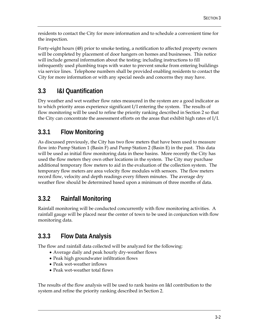residents to contact the City for more information and to schedule a convenient time for the inspection.

Forty-eight hours (48) prior to smoke testing, a notification to affected property owners will be completed by placement of door hangers on homes and businesses. This notice will include general information about the testing; including instructions to fill infrequently used plumbing traps with water to prevent smoke from entering buildings via service lines. Telephone numbers shall be provided enabling residents to contact the City for more information or with any special needs and concerns they may have.

### **3.3 I&I Quantification**

Dry weather and wet weather flow rates measured in the system are a good indicator as to which priority areas experience significant I/I entering the system. The results of flow monitoring will be used to refine the priority ranking described in Section 2 so that the City can concentrate the assessment efforts on the areas that exhibit high rates of I/I.

### **3.3.1 Flow Monitoring**

As discussed previously, the City has two flow meters that have been used to measure flow into Pump Station 1 (Basin F) and Pump Station 2 (Basin E) in the past. This data will be used as initial flow monitoring data in these basins. More recently the City has used the flow meters they own other locations in the system. The City may purchase additional temporary flow meters to aid in the evaluation of the collection system. The temporary flow meters are area velocity flow modules with sensors. The flow meters record flow, velocity and depth readings every fifteen minutes. The average dry weather flow should be determined based upon a minimum of three months of data.

## **3.3.2 Rainfall Monitoring**

Rainfall monitoring will be conducted concurrently with flow monitoring activities. A rainfall gauge will be placed near the center of town to be used in conjunction with flow monitoring data.

## **3.3.3 Flow Data Analysis**

The flow and rainfall data collected will be analyzed for the following:

- Average daily and peak hourly dry-weather flows
- Peak high groundwater infiltration flows
- Peak wet-weather inflows
- Peak wet-weather total flows

The results of the flow analysis will be used to rank basins on I&I contribution to the system and refine the priority ranking described in Section 2.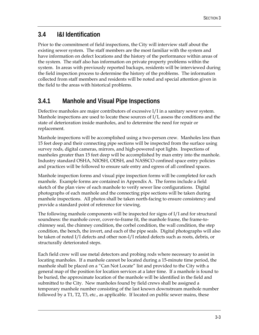## **3.4 I&I Identification**

Prior to the commitment of field inspections, the City will interview staff about the existing sewer system. The staff members are the most familiar with the system and have information on defect locations and the history of the performance within areas of the system. The staff also has information on private property problems within the system. In areas with previously reported backups, residents will be interviewed during the field inspection process to determine the history of the problems. The information collected from staff members and residents will be noted and special attention given in the field to the areas with historical problems.

## **3.4.1 Manhole and Visual Pipe Inspections**

Defective manholes are major contributors of excessive I/I in a sanitary sewer system. Manhole inspections are used to locate these sources of I/I, assess the conditions and the state of deterioration inside manholes, and to determine the need for repair or replacement.

Manhole inspections will be accomplished using a two-person crew. Manholes less than 15 feet deep and their connecting pipe sections will be inspected from the surface using survey rods, digital cameras, mirrors, and high-powered spot lights. Inspections of manholes greater than 15 feet deep will be accomplished by man entry into the manhole. Industry standard OSHA, NIOSH, ODSH, and NASSCO confined space entry policies and practices will be followed to ensure safe entry and egress of all confined spaces.

Manhole inspection forms and visual pipe inspection forms will be completed for each manhole. Example forms are contained in Appendix A. The forms include a field sketch of the plan view of each manhole to verify sewer line configurations. Digital photographs of each manhole and the connecting pipe sections will be taken during manhole inspections. All photos shall be taken north-facing to ensure consistency and provide a standard point of reference for viewing.

The following manhole components will be inspected for signs of I/I and for structural soundness: the manhole cover, cover-to-frame fit, the manhole frame, the frame-tochimney seal, the chimney condition, the corbel condition, the wall condition, the step condition, the bench, the invert, and each of the pipe seals. Digital photographs will also be taken of noted I/I defects and other non-I/I related defects such as roots, debris, or structurally deteriorated steps.

Each field crew will use metal detectors and probing rods where necessary to assist in locating manholes. If a manhole cannot be located during a 15-minute time period, the manhole shall be placed on a "Can Not Locate" list and provided to the City with a general map of the position for location services at a later time. If a manhole is found to be buried, the approximate location of the manhole will be identified in the field and submitted to the City. New manholes found by field crews shall be assigned a temporary manhole number consisting of the last known downstream manhole number followed by a T1, T2, T3, etc., as applicable. If located on public sewer mains, these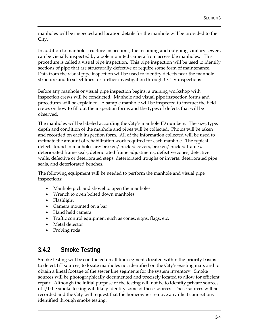manholes will be inspected and location details for the manhole will be provided to the City.

In addition to manhole structure inspections, the incoming and outgoing sanitary sewers can be visually inspected by a pole mounted camera from accessible manholes. This procedure is called a visual pipe inspection. This pipe inspection will be used to identify sections of pipe that are structurally defective or require some form of maintenance. Data from the visual pipe inspection will be used to identify defects near the manhole structure and to select lines for further investigation through CCTV inspections.

Before any manhole or visual pipe inspection begins, a training workshop with inspection crews will be conducted. Manhole and visual pipe inspection forms and procedures will be explained. A sample manhole will be inspected to instruct the field crews on how to fill out the inspection forms and the types of defects that will be observed.

The manholes will be labeled according the City's manhole ID numbers. The size, type, depth and condition of the manhole and pipes will be collected. Photos will be taken and recorded on each inspection form. All of the information collected will be used to estimate the amount of rehabilitation work required for each manhole. The typical defects found in manholes are: broken/cracked covers, broken/cracked frames, deteriorated frame seals, deteriorated frame adjustments, defective cones, defective walls, defective or deteriorated steps, deteriorated troughs or inverts, deteriorated pipe seals, and deteriorated benches.

The following equipment will be needed to perform the manhole and visual pipe inspections:

- Manhole pick and shovel to open the manholes
- Wrench to open bolted down manholes
- Flashlight
- Camera mounted on a bar
- Hand held camera
- Traffic control equipment such as cones, signs, flags, etc.
- Metal detector
- Probing rods

## **3.4.2 Smoke Testing**

Smoke testing will be conducted on all line segments located within the priority basins to detect I/I sources, to locate manholes not identified on the City's existing map, and to obtain a lineal footage of the sewer line segments for the system inventory. Smoke sources will be photographically documented and precisely located to allow for efficient repair. Although the initial purpose of the testing will not be to identify private sources of I/I the smoke testing will likely identify some of these sources. These sources will be recorded and the City will request that the homeowner remove any illicit connections identified through smoke testing.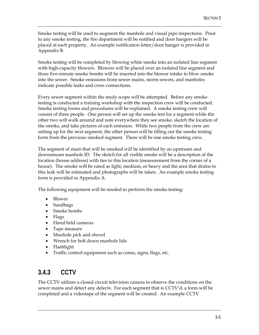Smoke testing will be used to augment the manhole and visual pipe inspections. Prior to any smoke testing, the fire department will be notified and door hangers will be placed at each property. An example notification letter/door hanger is provided in Appendix B.

Smoke testing will be completed by blowing white smoke into an isolated line segment with high-capacity blowers. Blowers will be placed over an isolated line segment and three five-minute smoke bombs will be inserted into the blower intake to blow smoke into the sewer. Smoke emissions from sewer mains, storm sewers, and manholes indicate possible leaks and cross connections.

Every sewer segment within the study scope will be attempted. Before any smoke testing is conducted a training workshop with the inspection crew will be conducted. Smoke testing forms and procedures will be explained. A smoke testing crew will consist of three people. One person will set up the smoke test for a segment while the other two will walk around and note everywhere they see smoke, sketch the location of the smoke, and take pictures of each emission. While two people from the crew are setting up for the next segment, the other person will be filling out the smoke testing form from the previous smoked segment. There will be one smoke testing crew.

The segment of main that will be smoked will be identified by an upstream and downstream manhole ID. The sketch for all visible smoke will be a description of the location (house address) with ties to this location (measurement from the corner of a house). The smoke will be rated as light, medium, or heavy and the area that drains to this leak will be estimated and photographs will be taken. An example smoke testing form is provided in Appendix A.

The following equipment will be needed to perform the smoke testing:

- Blower
- Sandbags
- Smoke bombs
- Flags
- Hand held cameras
- Tape measure
- Manhole pick and shovel
- Wrench for bolt down manhole lids
- Flashlight
- Traffic control equipment such as cones, signs, flags, etc.

## **3.4.3 CCTV**

The CCTV utilizes a closed circuit television camera to observe the conditions on the sewer mains and detect any defects. For each segment that is CCTV'd, a form will be completed and a videotape of the segment will be created. An example CCTV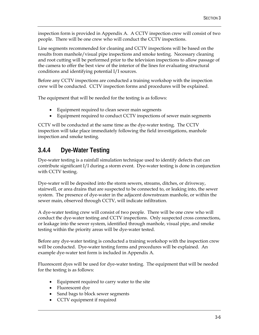inspection form is provided in Appendix A. A CCTV inspection crew will consist of two people. There will be one crew who will conduct the CCTV inspections.

Line segments recommended for cleaning and CCTV inspections will be based on the results from manhole/visual pipe inspections and smoke testing. Necessary cleaning and root cutting will be performed prior to the television inspections to allow passage of the camera to offer the best view of the interior of the lines for evaluating structural conditions and identifying potential I/I sources.

Before any CCTV inspections are conducted a training workshop with the inspection crew will be conducted. CCTV inspection forms and procedures will be explained.

The equipment that will be needed for the testing is as follows:

- Equipment required to clean sewer main segments
- Equipment required to conduct CCTV inspections of sewer main segments

CCTV will be conducted at the same time as the dye-water testing. The CCTV inspection will take place immediately following the field investigations, manhole inspection and smoke testing.

### **3.4.4 Dye-Water Testing**

Dye-water testing is a rainfall simulation technique used to identify defects that can contribute significant I/I during a storm event. Dye-water testing is done in conjunction with CCTV testing.

Dye-water will be deposited into the storm sewers, streams, ditches, or driveway, stairwell, or area drains that are suspected to be connected to, or leaking into, the sewer system. The presence of dye-water in the adjacent downstream manhole, or within the sewer main, observed through CCTV, will indicate infiltration.

A dye-water testing crew will consist of two people. There will be one crew who will conduct the dye-water testing and CCTV inspections. Only suspected cross connections, or leakage into the sewer system, identified through manhole, visual pipe, and smoke testing within the priority areas will be dye-water tested.

Before any dye-water testing is conducted a training workshop with the inspection crew will be conducted. Dye-water testing forms and procedures will be explained. An example dye-water test form is included in Appendix A.

Fluorescent dyes will be used for dye-water testing. The equipment that will be needed for the testing is as follows:

- Equipment required to carry water to the site
- Fluorescent dye
- Sand bags to block sewer segments
- CCTV equipment if required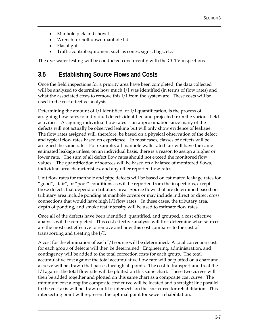- Manhole pick and shovel
- Wrench for bolt down manhole lids
- Flashlight
- Traffic control equipment such as cones, signs, flags, etc.

The dye-water testing will be conducted concurrently with the CCTV inspections.

#### **3.5 Establishing Source Flows and Costs**

Once the field inspections for a priority area have been completed, the data collected will be analyzed to determine how much I/I was identified (in terms of flow rates) and what the associated costs to remove this I/I from the system are. These costs will be used in the cost effective analysis.

Determining the amount of I/I identified, or I/I quantification, is the process of assigning flow rates to individual defects identified and projected from the various field activities. Assigning individual flow rates is an approximation since many of the defects will not actually be observed leaking but will only show evidence of leakage. The flow rates assigned will, therefore, be based on a physical observation of the defect and typical flow rates based on experience. In most cases, classes of defects will be assigned the same rate. For example, all manhole walls rated fair will have the same estimated leakage unless, on an individual basis, there is a reason to assign a higher or lower rate. The sum of all defect flow rates should not exceed the monitored flow values. The quantification of sources will be based on a balance of monitored flows, individual area characteristics, and any other reported flow rates.

Unit flow rates for manhole and pipe defects will be based on estimated leakage rates for "good", "fair", or "poor" conditions as will be reported from the inspections, except those defects that depend on tributary area. Source flows that are determined based on tributary area include ponding at manhole covers or may include indirect or direct cross connections that would have high I/I flow rates. In these cases, the tributary area, depth of ponding, and smoke test intensity will be used to estimate flow rates.

Once all of the defects have been identified, quantified, and grouped, a cost effective analysis will be completed. This cost effective analysis will first determine what sources are the most cost effective to remove and how this cost compares to the cost of transporting and treating the I/I.

A cost for the elimination of each I/I source will be determined. A total correction cost for each group of defects will then be determined. Engineering, administration, and contingency will be added to the total correction costs for each group. The total accumulative cost against the total accumulative flow rate will be plotted on a chart and a curve will be drawn that passes through all points. The cost to transport and treat the I/I against the total flow rate will be plotted on this same chart. These two curves will then be added together and plotted on this same chart as a composite cost curve. The minimum cost along the composite cost curve will be located and a straight line parallel to the cost axis will be drawn until it intersects on the cost curve for rehabilitation. This intersecting point will represent the optimal point for sewer rehabilitation.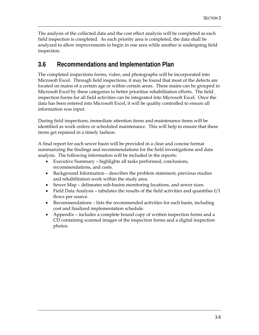The analysis of the collected data and the cost effect analysis will be completed as each field inspection is completed. As each priority area is completed, the data shall be analyzed to allow improvements to begin in one area while another is undergoing field inspection.

#### **3.6 Recommendations and Implementation Plan**

The completed inspections forms, video, and photographs will be incorporated into Microsoft Excel. Through field inspections, it may be found that most of the defects are located on mains of a certain age or within certain areas. These mains can be grouped in Microsoft Excel by these categories to better prioritize rehabilitation efforts. The field inspection forms for all field activities can be integrated into Microsoft Excel. Once the data has been entered into Microsoft Excel, it will be quality controlled to ensure all information was input.

During field inspections, immediate attention items and maintenance items will be identified as work orders or scheduled maintenance. This will help to ensure that these items get repaired in a timely fashion.

A final report for each sewer basin will be provided in a clear and concise format summarizing the findings and recommendations for the field investigations and data analysis. The following information will be included in the reports:

- Executive Summary highlights all tasks performed, conclusions, recommendations, and costs.
- Background Information describes the problem statement, previous studies and rehabilitation work within the study area.
- Sewer Map delineates sub-basins monitoring locations, and sewer sizes.
- Field Data Analysis tabulates the results of the field activities and quantifies  $I/I$ flows per source.
- Recommendations lists the recommended activities for each basin, including cost and finalized implementation schedule.
- Appendix includes a complete bound copy of written inspection forms and a CD containing scanned images of the inspection forms and a digital inspection photos.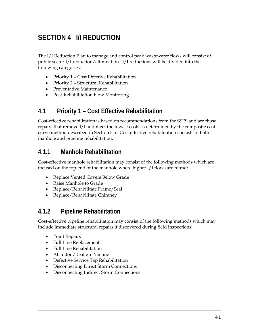## **SECTION 4 I/I REDUCTION**

The I/I Reduction Plan to manage and control peak wastewater flows will consist of public sector I/I reduction/elimination. I/I reductions will be divided into the following categories:

- Priority 1 Cost Effective Rehabilitation
- Priority 2 Structural Rehabilitation
- Preventative Maintenance
- Post-Rehabilitation Flow Monitoring

### **4.1 Priority 1 – Cost Effective Rehabilitation**

Cost-effective rehabilitation is based on recommendations from the SSES and are those repairs that remove I/I and meet the lowest costs as determined by the composite cost curve method described in Section 3.5. Cost effective rehabilitation consists of both manhole and pipeline rehabilitation.

### **4.1.1 Manhole Rehabilitation**

Cost-effective manhole rehabilitation may consist of the following methods which are focused on the top-end of the manhole where higher I/I flows are found:

- Replace Vented Covers Below Grade
- Raise Manhole to Grade
- Replace/Rehabilitate Frame/Seal
- Replace/Rehabilitate Chimney

## **4.1.2 Pipeline Rehabilitation**

Cost-effective pipeline rehabilitation may consist of the following methods which may include immediate structural repairs if discovered during field inspections:

- Point Repairs
- Full Line Replacement
- Full Line Rehabilitation
- Abandon/Realign Pipeline
- Defective Service Tap Rehabilitation
- Disconnecting Direct Storm Connections
- Disconnecting Indirect Storm Connections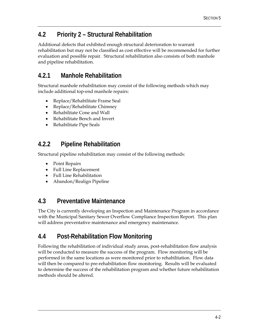## **4.2 Priority 2 – Structural Rehabilitation**

Additional defects that exhibited enough structural deterioration to warrant rehabilitation but may not be classified as cost effective will be recommended for further evaluation and possible repair. Structural rehabilitation also consists of both manhole and pipeline rehabilitation.

## **4.2.1 Manhole Rehabilitation**

Structural manhole rehabilitation may consist of the following methods which may include additional top-end manhole repairs:

- Replace/Rehabilitate Frame Seal
- Replace/Rehabilitate Chimney
- Rehabilitate Cone and Wall
- Rehabilitate Bench and Invert
- Rehabilitate Pipe Seals

## **4.2.2 Pipeline Rehabilitation**

Structural pipeline rehabilitation may consist of the following methods:

- Point Repairs
- Full Line Replacement
- Full Line Rehabilitation
- Abandon/Realign Pipeline

## **4.3 Preventative Maintenance**

The City is currently developing an Inspection and Maintenance Program in accordance with the Municipal Sanitary Sewer Overflow Compliance Inspection Report. This plan will address preventative maintenance and emergency maintenance.

## **4.4 Post-Rehabilitation Flow Monitoring**

Following the rehabilitation of individual study areas, post-rehabilitation flow analysis will be conducted to measure the success of the program. Flow monitoring will be performed in the same locations as were monitored prior to rehabilitation. Flow data will then be compared to pre-rehabilitation flow monitoring. Results will be evaluated to determine the success of the rehabilitation program and whether future rehabilitation methods should be altered.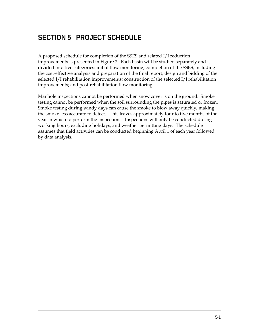A proposed schedule for completion of the SSES and related I/I reduction improvements is presented in Figure 2. Each basin will be studied separately and is divided into five categories: initial flow monitoring; completion of the SSES, including the cost-effective analysis and preparation of the final report; design and bidding of the selected I/I rehabilitation improvements; construction of the selected I/I rehabilitation improvements; and post-rehabilitation flow monitoring.

Manhole inspections cannot be performed when snow cover is on the ground. Smoke testing cannot be performed when the soil surrounding the pipes is saturated or frozen. Smoke testing during windy days can cause the smoke to blow away quickly, making the smoke less accurate to detect. This leaves approximately four to five months of the year in which to perform the inspections. Inspections will only be conducted during working hours, excluding holidays, and weather permitting days. The schedule assumes that field activities can be conducted beginning April 1 of each year followed by data analysis.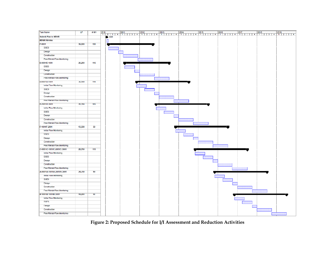

**Figure 2: Proposed Schedule for I/I Assessment and Reduction Activities**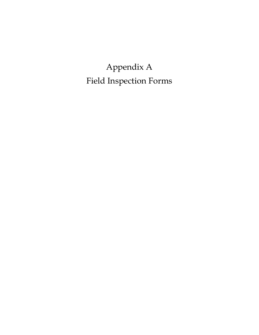Appendix A Field Inspection Forms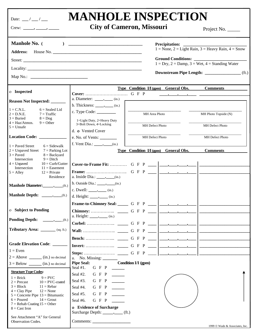| Date: $\frac{\ }{2}$ / $\frac{\ }{2}$                                                                                                                                                                                                                                                                                                                  | <b>MANHOLE INSPECTION</b>                                                                                                                                                                                                                                                                                                                                                                                                                                                     | <b>City of Cameron, Missouri</b>                                                                                      |                           | Project No.                                                                               |
|--------------------------------------------------------------------------------------------------------------------------------------------------------------------------------------------------------------------------------------------------------------------------------------------------------------------------------------------------------|-------------------------------------------------------------------------------------------------------------------------------------------------------------------------------------------------------------------------------------------------------------------------------------------------------------------------------------------------------------------------------------------------------------------------------------------------------------------------------|-----------------------------------------------------------------------------------------------------------------------|---------------------------|-------------------------------------------------------------------------------------------|
| <b>Manhole No.</b> (                                                                                                                                                                                                                                                                                                                                   |                                                                                                                                                                                                                                                                                                                                                                                                                                                                               |                                                                                                                       |                           | $1 = \text{None}$ , $2 = \text{Light Rain}$ , $3 = \text{Heavy Rain}$ , $4 = \text{Show}$ |
|                                                                                                                                                                                                                                                                                                                                                        |                                                                                                                                                                                                                                                                                                                                                                                                                                                                               |                                                                                                                       | <b>Ground Conditions:</b> | $1 = Dry, 2 = Damp, 3 = Wet, 4 = Standing Water$                                          |
| o Inspected                                                                                                                                                                                                                                                                                                                                            |                                                                                                                                                                                                                                                                                                                                                                                                                                                                               | <b>Type Condition I/I (gpm)</b> General Obs.                                                                          |                           | <b>Comments</b>                                                                           |
| <b>Reason Not Inspected:</b>                                                                                                                                                                                                                                                                                                                           | a. Diameter: $\_\_\_\_\_\_\_\_\$ (in.)                                                                                                                                                                                                                                                                                                                                                                                                                                        | <u> 1989 - John Harry Harry Harry Harry Harry Harry Harry Harry Harry Harry Harry Harry Harry Harry Harry Harry H</u> |                           |                                                                                           |
| $1 = C.N.L.$<br>$6 =$ Sealed Lid<br>$2 = D.N.E.$<br>$7 = \text{Traffic}$<br>$3 =$ Buried<br>$8 = \text{Dog}$<br>$4 = \text{Haz/Atmos.}$<br>$9$ = Other                                                                                                                                                                                                 | b. Thickness: $\_\_\_\_\_\_\_\_\_\$ (in.)<br>c. Type Code: $\_\_\_\_\_\_\_\_\_\_\_\_\_\_\_\_\_\_$<br>1=Light Duty, 2=Heavy Duty<br>3=Bolt Down, 4=Locking                                                                                                                                                                                                                                                                                                                     | MH Area Photo                                                                                                         |                           | MH Photo Topside (N)                                                                      |
| $5 =$ Unsafe                                                                                                                                                                                                                                                                                                                                           | d. o Vented Cover                                                                                                                                                                                                                                                                                                                                                                                                                                                             | MH Defect Photo                                                                                                       |                           | MH Defect Photo                                                                           |
| Location Code: _________                                                                                                                                                                                                                                                                                                                               | e. No. of Vents: $\_\_$                                                                                                                                                                                                                                                                                                                                                                                                                                                       | MH Defect Photo                                                                                                       |                           | MH Defect Photo                                                                           |
| $1 = \text{Paved Street}$<br>$6 = Sidewalk$<br>$2 =$ Unpaved Street $7 =$ Parking Lot<br>$3 = \text{Paved}$<br>$8 =$ Backyard<br>Intersection<br>$9 =$ Ditch<br>$4 =$ Unpaved<br>$10 =$ Curb/Gutter                                                                                                                                                    | f. Vent Dia.: $\qquad \qquad (in.)$                                                                                                                                                                                                                                                                                                                                                                                                                                           | Type Condition I/I (gpm) General Obs.                                                                                 |                           | <b>Comments</b>                                                                           |
| Intersection<br>$11$ = Easement<br>$5 =$ Alley<br>$12$ = Private<br>Residence                                                                                                                                                                                                                                                                          | b. Outside Dia.: $\qquad \qquad (in.)$                                                                                                                                                                                                                                                                                                                                                                                                                                        |                                                                                                                       |                           |                                                                                           |
| Manhole Diameter: (ft.)<br>(f <sub>t</sub> )                                                                                                                                                                                                                                                                                                           | c. Dwell: $\qquad \qquad \bullet$ (in.)<br>d. Height: $\_\_\_\_\_\_\_\_\$ (in.)                                                                                                                                                                                                                                                                                                                                                                                               |                                                                                                                       |                           |                                                                                           |
| o Subject to Ponding                                                                                                                                                                                                                                                                                                                                   |                                                                                                                                                                                                                                                                                                                                                                                                                                                                               |                                                                                                                       |                           |                                                                                           |
| Tributary Area: _______ (sq. ft.)                                                                                                                                                                                                                                                                                                                      |                                                                                                                                                                                                                                                                                                                                                                                                                                                                               |                                                                                                                       |                           |                                                                                           |
| Grade Elevation Code: ______                                                                                                                                                                                                                                                                                                                           |                                                                                                                                                                                                                                                                                                                                                                                                                                                                               |                                                                                                                       |                           |                                                                                           |
| $1 = Even$                                                                                                                                                                                                                                                                                                                                             |                                                                                                                                                                                                                                                                                                                                                                                                                                                                               |                                                                                                                       |                           |                                                                                           |
| $2 =$ Above ________ (in.) no decimal<br>$3 = \text{Below } \_\_\_\_\$ (in.) no decimal                                                                                                                                                                                                                                                                | a. No. Missing: $\frac{1}{\sqrt{1-\frac{1}{\sqrt{1-\frac{1}{\sqrt{1-\frac{1}{\sqrt{1-\frac{1}{\sqrt{1-\frac{1}{\sqrt{1-\frac{1}{\sqrt{1-\frac{1}{\sqrt{1-\frac{1}{\sqrt{1-\frac{1}{\sqrt{1-\frac{1}{\sqrt{1-\frac{1}{\sqrt{1-\frac{1}{\sqrt{1-\frac{1}{\sqrt{1-\frac{1}{\sqrt{1-\frac{1}{\sqrt{1-\frac{1}{\sqrt{1-\frac{1}{\sqrt{1-\frac{1}{\sqrt{1-\frac{1}{\sqrt{1-\frac{1}{\sqrt{1-\frac{1}{\sqrt{1-\frac{1}{\$<br>Pipe Seal: Condition I/I (gpm)<br>Seal #1. G F P ______ |                                                                                                                       |                           |                                                                                           |
| <b>Structure Type Codes:</b><br>$1 =$ Brick $9 =$ PVC<br>$2 = Precast$<br>$10 =$ PVC-coated<br>$3 = Block$ $11 = Rebar$<br>$4 = Clay$ Pipe<br>$12 = \text{None}$<br>$5$ = Concrete Pipe 13 = Bitumastic<br>$6 =$ Poured<br>$14 =$ Grout<br>$7 =$ Rehab Coating $15 =$ Other<br>$8 =$ Cast Iron<br>See Attachment "A" for General<br>Observation Codes. | Seal #2. G F P ______<br>Seal #3. G F P ______<br>G F P ____<br>Seal #4.<br>$G \ F \ P \ \ \_\$<br>Seal #5.<br>Seal #6.<br>$G \ F \ P \ \_$<br>o Evidence of Surcharge<br>Surcharge Depth: _____________ (ft.)                                                                                                                                                                                                                                                                |                                                                                                                       |                           | 1999 © Wade & Associates, Inc.                                                            |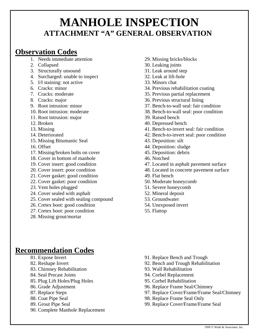## **MANHOLE INSPECTION ATTACHMENT "A" GENERAL OBSERVATION**

## **Observation Codes**

- 1. Needs immediate attention
- 2. Collapsed
- 3. Structurally unsound
- 4. Surcharged: unable to inspect
- 5. I/I staining: not active
- 6. Cracks: minor
- 7. Cracks: moderate
- 8. Cracks: major
- 9. Root intrusion: minor
- 10. Root intrusion: moderate
- 11. Root intrusion: major
- 12. Broken
- 13. Missing
- 14. Deteriorated
- 15. Missing Bitumastic Seal
- 16. Offset
- 17. Missing/broken bolts on cover
- 18. Cover in bottom of manhole
- 19. Cover insert: good condition
- 20. Cover insert: poor condition
- 21. Cover gasket: good condition
- 22. Cover gasket: poor condition
- 23. Vent holes plugged
- 24. Cover sealed with asphalt
- 25. Cover sealed with sealing compound
- 26. Cretex boot: good condition
- 27. Cretex boot: poor condition
- 28. Missing grout/mortar
- 29. Missing bricks/blocks
- 30. Leaking joints
- 31. Leak around step
- 32. Leak at lift-hole
- 33. Minors chat
- 34. Previous rehabilitation coating
- 35. Previous partial replacement
- 36. Previous structural lining
- 37. Bench-to-wall seal: fair condition
- 38. Bench-to-wall seal: poor condition
- 39. Raised bench
- 40. Depressed bench
- 41. Bench-to-invert seal: fair condition
- 42. Bench-to-invert seal: poor condition
- 43. Deposition: silt
- 44. Deposition: sludge
- 45. Deposition: debris
- 46. Notched
- 47. Located in asphalt pavement surface
- 48. Located in concrete pavement surface
- 49. Flat bench
- 50. Moderate honeycomb
- 51. Severe honeycomb
- 52. Mineral deposit
- 53. Groundwater
- 54. Unexposed invert
- 55. Flattop

## **Recommendation Codes**

- 81. Expose Invert
- 82. Reshape Invert
- 83. Chimney Rehabilitation
- 84. Seal Precast Joints
- 85. Plug Lift Holes/Plug Holes
- 86. Grade Adjustment
- 87. Replace Steps
- 88. Coat Pipe Seal
- 89. Grout Pipe Seal
- 90. Complete Manhole Replacement
- 91. Replace Bench and Trough
- 92. Bench and Trough Rehabilitation
- 93. Wall Rehabilitation
- 94. Corbel Replacement
- 95. Corbel Rehabilitation
- 96. Replace Frame Seal/Chimney
- 97. Replace Cover/Frame/Frame Seal/Chimney
- 98. Replace Frame Seal Only
- 99. Replace Cover/Frame/Frame Seal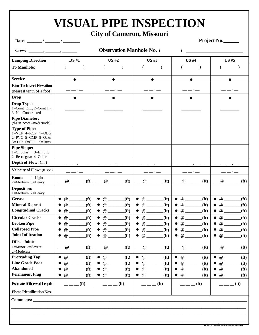## **VISUAL PIPE INSPECTION**

## **City of Cameron, Missouri**

Date: \_\_\_\_\_\_\_\_ / \_\_\_\_\_\_\_ / \_\_\_\_\_\_\_\_ **Project No.\_\_\_\_** 

|                                                                                                                  | <b>Observation Manhole No.</b> (       |                   |                            |                               |                       |                   |                             |                   |                                        |                   |
|------------------------------------------------------------------------------------------------------------------|----------------------------------------|-------------------|----------------------------|-------------------------------|-----------------------|-------------------|-----------------------------|-------------------|----------------------------------------|-------------------|
| <b>Lamping Direction</b>                                                                                         | <b>DS #1</b>                           |                   | <b>US#2</b><br><b>US#3</b> |                               |                       | <b>US#4</b>       |                             | <b>US#5</b>       |                                        |                   |
| <b>To Manhole:</b>                                                                                               |                                        |                   | €                          | $\lambda$                     |                       | $\mathcal{L}$     |                             |                   |                                        |                   |
| <b>Service</b>                                                                                                   | $\bullet$                              |                   |                            | $\bullet$                     |                       | $\bullet$         | $\bullet$                   |                   |                                        | $\bullet$         |
| <b>Rim-To-Invert Elevation</b>                                                                                   |                                        |                   |                            |                               |                       |                   |                             |                   |                                        |                   |
| (nearest tenth of a foot)                                                                                        |                                        |                   |                            |                               |                       |                   |                             |                   |                                        |                   |
| <b>Drop</b>                                                                                                      |                                        |                   |                            |                               |                       |                   |                             |                   |                                        |                   |
| <b>Drop Type:</b><br>1=Const. Ext.; 2=Const. Int.<br>3=Not Constructed                                           |                                        |                   |                            |                               |                       |                   |                             |                   |                                        |                   |
| <b>Pipe Diameter:</b><br>(dia. in inches - no decimals)                                                          |                                        |                   |                            |                               |                       |                   |                             |                   |                                        |                   |
| <b>Type of Pipe:</b><br>$1=VCP$ $4=RCP$ $7=OBG$<br>$2=$ PVC $5=$ CMP $8=$ Other<br>$3 = DIP$ 6=CIP<br>$9 = Thus$ |                                        |                   |                            |                               |                       |                   |                             |                   |                                        |                   |
| <b>Pipe Shape:</b><br>$1 = Circular$<br>3=Elliptic<br>2=Rectangular 4=Other                                      |                                        |                   |                            |                               |                       |                   |                             |                   |                                        |                   |
| Depth of Flow: (in.)                                                                                             |                                        |                   |                            |                               |                       |                   |                             |                   |                                        |                   |
| Velocity of Flow: (ft/sec.)                                                                                      |                                        |                   |                            |                               |                       |                   |                             |                   |                                        |                   |
| Roots:<br>$1 = Light$<br>2=Medium 3=Heavy                                                                        | $\omega$                               | (f <sup>t</sup> ) | @                          | (f <sub>t</sub> )             | @                     | (f <sub>t</sub> ) | @                           | (f <sub>t</sub> ) | $^\text{\textregistered}$              | (f <sup>t</sup> ) |
| Deposition:<br>1=Medium 2=Heavy                                                                                  |                                        |                   |                            |                               |                       |                   |                             |                   |                                        |                   |
| <b>Grease</b>                                                                                                    | $\bullet$<br>$@{\fbox{2.5in}}$         | (f <sup>t</sup> ) | $\bullet$                  | $\omega$<br>(f <sup>t</sup> ) | $\bullet$             | (f <sup>t</sup> ) | $\bullet$ $\omega$          | (f <sup>t</sup> ) | $\bullet$ $\omega$                     | (f <sup>t</sup> ) |
| <b>Mineral Deposit</b>                                                                                           |                                        | (f <sup>t</sup> ) | $\bullet$                  | (f <sup>t</sup> )             | $\bullet$             | (f <sup>t</sup> ) | $\circledcirc$<br>$\bullet$ | (f <sup>t</sup> ) |                                        | (f <sup>t</sup> ) |
| <b>Longitudinal Cracks</b>                                                                                       | $\bullet$<br>$^{\copyright}$           | (f <sup>t</sup> ) | @<br>$\bullet$             | $({\bf ft})$                  | $\bullet$             | $({\bf ft})$      | $\bullet$                   | (f <sup>t</sup> ) | $\bullet$                              | (f <sup>t</sup> ) |
| <b>Circular Cracks</b>                                                                                           | $\bullet$<br>$\omega$                  | (f <sup>t</sup> ) | $\bullet$                  | (f <sup>t</sup> )             | $\bullet$             | (f <sup>t</sup> ) | $\bullet$ $\omega$          | (f <sup>t</sup> ) |                                        | (f <sup>t</sup> ) |
| <b>Broken Pipe</b>                                                                                               | $\omega$                               | (f <sup>t</sup> ) | $\bullet$                  | (f <sup>t</sup> )<br>$\omega$ | $\omega$<br>$\bullet$ | (f <sup>t</sup> ) | $\bullet$ $\omega$          | (f <sup>t</sup> ) | $\omega$<br>$\bullet$                  | (f <sup>t</sup> ) |
| <b>Collapsed Pipe</b>                                                                                            | $^\text{\textregistered}$              | (f <sup>t</sup> ) | $\mathcal Q$               | (f <sup>t</sup> )             | $\omega$              | (f <sup>t</sup> ) | $^\text{\textregistered}$   | (f <sup>t</sup> ) | $^\text{\textregistered}$              | (f <sup>t</sup> ) |
| <b>Joint Infiltration</b>                                                                                        | $^{\copyright}$                        | (f <sup>t</sup> ) | $\omega$                   | (f(t))                        | $\bullet$ @           | ft)               | $\bullet$ $\omega$          | (f <sup>t</sup> ) | $\bullet$ @                            | $({\bf ft})$      |
| <b>Offset Joint:</b>                                                                                             |                                        |                   |                            |                               |                       |                   |                             |                   |                                        |                   |
| 1=Minor 3=Severe<br>2=Moderate                                                                                   | $^{\copyright}$                        | (f <sub>t</sub> ) | $^\text{\textregistered}$  | (f <sub>t</sub> )             | @                     | (f <sup>t</sup> ) | <b>@</b>                    | (f <sub>t</sub> ) | $^\text{\textregistered}$              | (f <sup>t</sup> ) |
| <b>Protruding Tap</b>                                                                                            | @<br>$\bullet$                         | (f <sub>t</sub> ) | @<br>$\bullet$             | (f <sup>t</sup> )             | $\omega$<br>$\bullet$ | (f <sup>t</sup> ) | @<br>$\bullet$              | (f <sup>t</sup> ) | $^\text{\textregistered}$<br>$\bullet$ | (f <sup>t</sup> ) |
| <b>Line Grade Poor</b>                                                                                           | @                                      | (f <sup>t</sup> ) | $\omega$                   | (f <sup>t</sup> )             | $\omega$<br>$\bullet$ | (f <sup>t</sup> ) | $\omega$<br>$\bullet$       | (f <sup>t</sup> ) | $\omega$                               | (f <sup>t</sup> ) |
| <b>Abandoned</b>                                                                                                 | $^{\,a}$                               | (f <sup>t</sup> ) | $^{\,a}$<br>$\bullet$      | (f <sup>t</sup> )             | $\omega$              | (f <sup>t</sup> ) | $\omega$<br>$\bullet$       | (f <sup>t</sup> ) | $^{\copyright}$<br>$\bullet$           | (f <sup>t</sup> ) |
| <b>Permanent Plug</b>                                                                                            | $^\text{\textregistered}$<br>$\bullet$ | (f <sup>t</sup> ) | @<br>$\bullet$             | (f <sub>t</sub> )             | $\omega$<br>$\bullet$ | (f <sup>t</sup> ) | $\bullet$ @                 | (f <sub>t</sub> ) | $\bullet$ @                            | (f <sup>t</sup> ) |
| <b>Estimated Observed Length</b>                                                                                 |                                        | (f <sup>t</sup> ) |                            | (f <sup>t</sup> )             |                       | (f <sub>t</sub> ) |                             | (f <sup>t</sup> ) |                                        | (f <sup>t</sup> ) |
| Photo Identification Nos.                                                                                        |                                        |                   |                            |                               |                       |                   |                             |                   |                                        |                   |
| Comments:                                                                                                        |                                        |                   |                            |                               |                       |                   |                             |                   |                                        |                   |
|                                                                                                                  |                                        |                   |                            |                               |                       |                   |                             |                   |                                        |                   |
|                                                                                                                  |                                        |                   |                            |                               |                       |                   |                             |                   |                                        |                   |
|                                                                                                                  |                                        |                   |                            |                               |                       |                   |                             |                   |                                        |                   |

 $1999 \otimes$  Wade & Associates, Inc.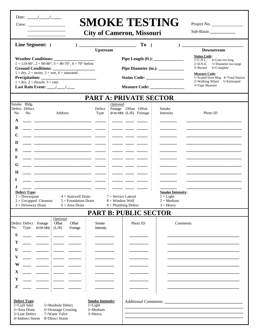| Date: |  |  |
|-------|--|--|

Crew:

## **SMOKE TESTING**

Project No.

**City of Cameron, Missouri** 

Sub-Basin **\_\_\_\_\_\_\_\_\_\_\_\_** 

|                                                                                                                                                                                                                                                              |                                                               | To (                                             |                                                                              |                                                                                                                                                                                                                                         |  |
|--------------------------------------------------------------------------------------------------------------------------------------------------------------------------------------------------------------------------------------------------------------|---------------------------------------------------------------|--------------------------------------------------|------------------------------------------------------------------------------|-----------------------------------------------------------------------------------------------------------------------------------------------------------------------------------------------------------------------------------------|--|
| <b>Line Segment:</b> (<br>$\mathcal{L}$                                                                                                                                                                                                                      | <b>Upstream</b>                                               |                                                  |                                                                              | <b>Downstream</b>                                                                                                                                                                                                                       |  |
| $1 = 110-90^{\circ}, 2 = 90-80^{\circ}, 3 = 80-70^{\circ}, 4 = 70^{\circ}$ -below<br><b>Ground Conditions:</b><br>$1 = \text{dry}, 2 = \text{moist}, 3 = \text{wet}, 4 = \text{saturated}$<br>$1 = dry$ , $2 = drizzle$ , $3 = rain$<br>Last Rain Event: /// |                                                               |                                                  |                                                                              | <b>Status Code:</b><br>$1 = C.N.L.$<br>$4$ =Line too long<br>5=Diameter too large<br>$2=D.N.E.$<br>3=Buried<br>6=Complete<br><b>Measure Code:</b><br>1=Scaled from Map 4=Total Station<br>2=Walking Wheel 5=Estimated<br>3=Tape Measure |  |
|                                                                                                                                                                                                                                                              |                                                               | <b>PART A: PRIVATE SECTOR</b>                    |                                                                              |                                                                                                                                                                                                                                         |  |
| Smoke Bldg.<br>Defect Defect<br>No.<br>Address<br>No.<br>A<br>B                                                                                                                                                                                              | Optional:<br>Defect i<br>Type                                 | Footage Offset Offset<br>(0=DS MH) (L/R) Footage | Smoke<br>Intensity                                                           | Photo ID                                                                                                                                                                                                                                |  |
| $\mathbf C$<br>D<br>E<br>F                                                                                                                                                                                                                                   |                                                               |                                                  |                                                                              |                                                                                                                                                                                                                                         |  |
| G<br>H<br>L                                                                                                                                                                                                                                                  |                                                               |                                                  |                                                                              |                                                                                                                                                                                                                                         |  |
| J<br><b>Defect Type:</b><br>$1 =$ Downspout<br>$4 =$ Stairwell Drain<br>$2 =$ Uncapped Cleanout<br>$5 =$ Foundation Drain<br>$3 = Driveway Drain$<br>$6 = Area Drain$                                                                                        | $7 =$ Service Lateral<br>$8 =$ Window Well                    | $9 =$ Plumbing Defect                            | <b>Smoke Intensity:</b><br>$1 = Light$<br>$2 = \text{Median}$<br>$3 =$ Heavy |                                                                                                                                                                                                                                         |  |
|                                                                                                                                                                                                                                                              |                                                               | <b>PART B: PUBLIC SECTOR</b>                     |                                                                              |                                                                                                                                                                                                                                         |  |
| Optional:<br>Defect Defect Footage<br>Offset<br>Offset<br>$(0=DSMH)$ $(L/R)$<br>No.<br>Footage<br>Type<br>S<br>Т<br>U                                                                                                                                        | Smoke<br>Intensity                                            | Photo ID                                         | Comments                                                                     |                                                                                                                                                                                                                                         |  |
| V<br>W<br>$\mathbf X$<br>Y                                                                                                                                                                                                                                   |                                                               |                                                  |                                                                              |                                                                                                                                                                                                                                         |  |
| Z<br>Defect Type:<br>$1 = Curb$ Inlet<br>5=Manhole Defect<br>2=Area Drain<br>6=Drainage Crossing<br>3=Line Defect<br>7=Water Valve<br>4=Indirect Storm<br>8=Direct Storm                                                                                     | <b>Smoke Intensity:</b><br>$1 =$ Light<br>2=Medium<br>3=Heavy |                                                  |                                                                              |                                                                                                                                                                                                                                         |  |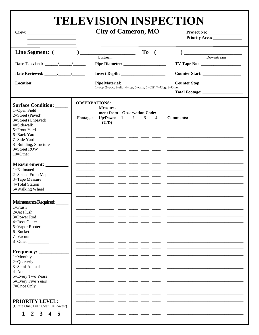## TELEVISION INSPECTION

|                                                                                                                                                                                                                                                         |                                         | <b>City of Cameron, MO</b>                                                                            |                                         | Project No:<br><b>Priority Area:</b> |  |
|---------------------------------------------------------------------------------------------------------------------------------------------------------------------------------------------------------------------------------------------------------|-----------------------------------------|-------------------------------------------------------------------------------------------------------|-----------------------------------------|--------------------------------------|--|
| Line Segment: (<br>Location: <u>the contract of the contract of the contract of the contract of the contract of the contract of the contract of the contract of the contract of the contract of the contract of the contract of the contract of the</u> |                                         | ) ___________________________<br>Upstream<br>1=vcp, 2=pvc, 3=dip, 4=rcp, 5=cmp, 6=CIP, 7=Obg, 8=Other | To<br>$\overline{\phantom{a}}$          | Downstream                           |  |
| <b>Surface Condition:</b><br>1=Open Field<br>2=Street (Paved)<br>3=Street (Unpaved)<br>$4 =$ Sidewalk<br>5=Front Yard<br>6=Back Yard<br>7=Side Yard<br>8=Building, Structure<br>9=Street ROW<br>$10=Other$ <sub>____________</sub>                      | <b>OBSERVATIONS:</b><br><b>Footage:</b> | Measure-<br>ment from Observation Code:<br>Up/Down: $1$<br>$\overline{2}$<br>(U/D)                    | $\mathbf{3}$<br>$\overline{\mathbf{4}}$ | <b>Comments:</b>                     |  |
| <b>Measurement:</b><br>1=Estimated<br>2=Scaled From Map<br>3=Tape Measure<br>4=Total Station<br>5=Walking Wheel                                                                                                                                         |                                         |                                                                                                       | _ ____ ___ ____                         |                                      |  |
| Maintenance Required:<br>$1 =$ Flush<br>$2=$ Jet Flush<br>3=Power Rod<br>4=Root Cutter<br>5=Vapor Rooter<br>$6 = Bucket$<br>$7 =$ Vacuum<br>$8 = Other$                                                                                                 |                                         |                                                                                                       |                                         |                                      |  |
| <b>Frequency:</b><br>$1 =$ Monthly<br>2=Quarterly<br>3=Semi-Annual<br>$4 =$ Annual<br>5=Every Two Years<br>6=Every Five Years<br>7=Once Only                                                                                                            |                                         |                                                                                                       |                                         |                                      |  |
| <b>PRIORITY LEVEL:</b><br>(Circle One; 1=Highest, 5=Lowest)<br>2 3 4 5<br>1                                                                                                                                                                             |                                         |                                                                                                       |                                         |                                      |  |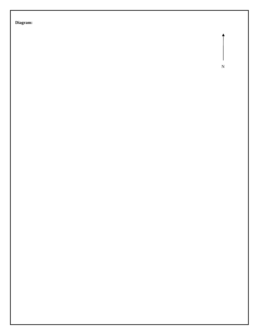**Diagram:** 

N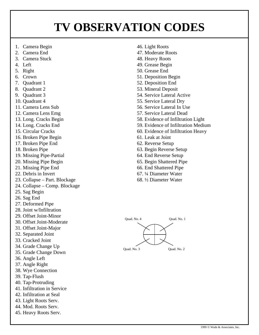## **TV OBSERVATION CODES**

- 1. Camera Begin
- 2. Camera End
- 3. Camera Stuck
- 4. Left
- 5. Right
- 6. Crown
- 7. Quadrant 1
- 8. Quadrant 2
- 9. Quadrant 3
- 10. Quadrant 4
- 11. Camera Lens Sub
- 12. Camera Lens Emg
- 13. Long. Cracks Begin
- 14. Long. Cracks End
- 15. Circular Cracks
- 16. Broken Pipe Begin
- 17. Broken Pipe End
- 18. Broken Pipe
- 19. Missing Pipe-Partial
- 20. Missing Pipe Begin
- 21. Missing Pipe End
- 22. Debris in Invert
- 23. Collapse Part. Blockage
- 24. Collapse Comp. Blockage
- 25. Sag Begin
- 26. Sag End
- 27. Deformed Pipe
- 28. Joint w/Infiltration
- 29. Offset Joint-Minor
- 30. Offset Joint-Moderate
- 31. Offset Joint-Major
- 32. Separated Joint
- 33. Cracked Joint
- 34. Grade Change Up
- 35. Grade Change Down
- 36. Angle Left
- 37. Angle Right
- 38. Wye Connection
- 39. Tap-Flush
- 40. Tap-Protruding
- 41. Infiltration in Service
- 42. Infiltration at Seal
- 43. Light Roots Serv.
- 44. Mod. Roots Serv.
- 45. Heavy Roots Serv.
- 46. Light Roots
- 47. Moderate Roots
- 48. Heavy Roots
- 49. Grease Begin
- 50. Grease End
- 51. Deposition Begin
- 52. Deposition End
- 53. Mineral Deposit
- 54. Service Lateral Active
- 55. Service Lateral Dry
- 56. Service Lateral In Use
- 57. Service Lateral Dead
- 58. Evidence of Infiltration Light
- 59. Evidence of Infiltration Medium
- 60. Evidence of Infiltration Heavy
- 61. Leak at Joint
- 62. Reverse Setup
- 63. Begin Reverse Setup
- 64. End Reverse Setup
- 65. Begin Shattered Pipe
- 66. End Shattered Pipe
- 67. ¼ Diameter Water
- 68. ½ Diameter Water

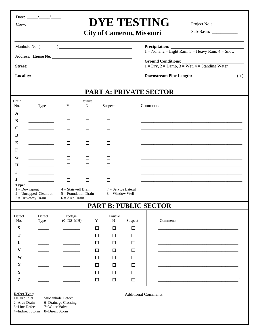|                                                                                              | Date: $\frac{1}{\sqrt{2}}$                      |                                                                     |             |                                            | <b>City of Cameron, Missouri</b> | <b>DYE TESTING</b>                                                                                        |  |  |  |
|----------------------------------------------------------------------------------------------|-------------------------------------------------|---------------------------------------------------------------------|-------------|--------------------------------------------|----------------------------------|-----------------------------------------------------------------------------------------------------------|--|--|--|
| Manhole No. (                                                                                |                                                 |                                                                     |             |                                            |                                  | <b>Precipitation:</b><br>$1 = \text{None}, 2 = \text{Light Rain}, 3 = \text{Heavy Rain}, 4 = \text{Show}$ |  |  |  |
|                                                                                              |                                                 | Address: House No.                                                  |             |                                            |                                  |                                                                                                           |  |  |  |
|                                                                                              |                                                 |                                                                     |             |                                            |                                  | $1 = Dry, 2 = Damp, 3 = Wet, 4 = Standing Water$                                                          |  |  |  |
|                                                                                              |                                                 |                                                                     |             |                                            |                                  | Downstream Pipe Length: (ft.)                                                                             |  |  |  |
|                                                                                              |                                                 |                                                                     |             |                                            |                                  | <b>PART A: PRIVATE SECTOR</b>                                                                             |  |  |  |
| Drain<br>Positive                                                                            |                                                 |                                                                     |             |                                            |                                  |                                                                                                           |  |  |  |
| No.                                                                                          | Type                                            | Y                                                                   | N           | Suspect                                    |                                  | Comments                                                                                                  |  |  |  |
| $\mathbf A$                                                                                  |                                                 | $\Box$                                                              | $\Box$      | П                                          |                                  |                                                                                                           |  |  |  |
| B                                                                                            |                                                 | $\Box$                                                              | $\Box$      | $\Box$                                     |                                  |                                                                                                           |  |  |  |
| $\mathbf C$                                                                                  |                                                 | □                                                                   | П           | П                                          |                                  |                                                                                                           |  |  |  |
| D                                                                                            |                                                 | П                                                                   | П           | П                                          |                                  |                                                                                                           |  |  |  |
| E                                                                                            |                                                 | $\Box$                                                              | $\Box$      | $\Box$                                     |                                  |                                                                                                           |  |  |  |
| F                                                                                            |                                                 | $\Box$                                                              | $\perp$     | $\perp$                                    |                                  |                                                                                                           |  |  |  |
| G                                                                                            |                                                 | П                                                                   | П           | ΙI                                         |                                  |                                                                                                           |  |  |  |
| $\mathbf H$                                                                                  |                                                 | $\Box$                                                              | □           | $\Box$                                     |                                  |                                                                                                           |  |  |  |
| $\bf{I}$                                                                                     |                                                 | $\Box$                                                              | П           | П                                          |                                  |                                                                                                           |  |  |  |
| J<br>Type:                                                                                   |                                                 | $\Box$                                                              | П           | $\Box$                                     |                                  |                                                                                                           |  |  |  |
| $\overline{1} = \overline{D}$ ownspout                                                       | $2 = Uncapped$ Cleanout<br>$3 = Driveway Drain$ | $4 = Stairwell Drain$<br>$5 =$ Foundation Drain<br>$6 = Area Drain$ |             | $7 =$ Service Lateral<br>$8 =$ Window Well |                                  |                                                                                                           |  |  |  |
|                                                                                              |                                                 |                                                                     |             |                                            |                                  | <b>PART B: PUBLIC SECTOR</b>                                                                              |  |  |  |
| Defect                                                                                       | Defect                                          | Footage                                                             |             | Positive                                   |                                  |                                                                                                           |  |  |  |
| No.                                                                                          | Type                                            | $(0=DS$ MH)                                                         | Y           | N                                          | Suspect                          | Comments                                                                                                  |  |  |  |
| S                                                                                            |                                                 |                                                                     | □           | $\Box$                                     | □                                |                                                                                                           |  |  |  |
| T                                                                                            |                                                 |                                                                     | $\Box$      | $\Box$                                     | $\Box$                           |                                                                                                           |  |  |  |
| U                                                                                            |                                                 |                                                                     | $\Box$      | П                                          | □                                |                                                                                                           |  |  |  |
| V                                                                                            |                                                 |                                                                     | $\Box$      | П                                          | □                                |                                                                                                           |  |  |  |
| W                                                                                            |                                                 |                                                                     | $\Box$      | $\Box$                                     | $\Box$                           |                                                                                                           |  |  |  |
| $\mathbf{X}$                                                                                 |                                                 |                                                                     | $\Box$      | □                                          | □                                |                                                                                                           |  |  |  |
| Y<br>Z                                                                                       |                                                 |                                                                     | □<br>$\Box$ | □<br>$\Box$                                | □<br>$\Box$                      |                                                                                                           |  |  |  |
| <b>Defect Type:</b><br>$1 = Curb$ Inlet<br>2=Area Drain<br>3=Line Defect<br>4=Indirect Storm | 7=Water Valve<br>8=Direct Storm                 | 5=Manhole Defect<br>6=Drainage Crossing                             |             |                                            |                                  |                                                                                                           |  |  |  |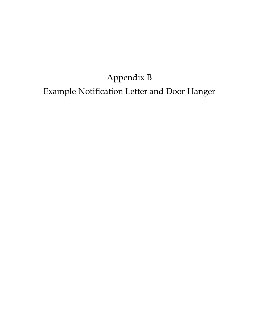## Appendix B Example Notification Letter and Door Hanger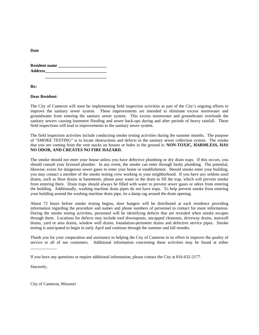| <b>Resident name</b> |  |  |
|----------------------|--|--|
| <b>Address</b>       |  |  |
|                      |  |  |

**Re:** 

**Date** 

#### **Dear Resident:**

The City of Cameron will soon be implementing field inspection activities as part of the City's ongoing efforts to improve the sanitary sewer system. These improvements are intended to eliminate excess stormwater and groundwater from entering the sanitary sewer system. This excess stormwater and groundwater overloads the sanitary sewers causing basement flooding and sewer back-ups during and after periods of heavy rainfall. These field inspections will lead to improvements to the sanitary sewer system.

The field inspection activities include conducting smoke testing activities during the summer months. The purpose of "SMOKE TESTING" is to locate obstructions and defects in the sanitary sewer collection system. The smoke that you see coming from the vent stacks on houses or holes in the ground is: **NON-TOXIC, HARMLESS, HAS NO ODOR, AND CREATES NO FIRE HAZARD.**

The smoke should not enter your house unless you have defective plumbing or dry drain traps. If this occurs, you should consult your licensed plumber. In any event, the smoke can enter through faulty plumbing. The potential, likewise, exists for dangerous sewer gases to enter your home or establishment. Should smoke enter your building, you may contact a member of the smoke testing crew working in your neighborhood. If you have any seldom used drains, such as floor drains in basements, please pour water in the drain to fill the trap, which will prevent smoke from entering there. Drain traps should always be filled with water to prevent sewer gases or odors from entering the building. Additionally, washing machine drain pipes do not have traps. To help prevent smoke from entering your building around the washing machine drain pipe, tie a damp rag around the drain opening.

About 72 hours before smoke testing begins, door hangers will be distributed at each residence providing information regarding the procedure and names and phone numbers of personnel to contact for more information. During the smoke testing activities, personnel will be identifying defects that are revealed when smoke escapes through them. Locations for defects may include roof downspouts, uncapped cleanouts, driveway drains, stairwell drains, yard or area drains, window well drains, foundation-perimeter drains and defective service pipes. Smoke testing is anticipated to begin in early April and continue through the summer and fall months.

Thank you for your cooperation and assistance in helping the City of Cameron in its effort to improve the quality of service to all of our customers. Additional information concerning these activities may be found at either

Sincerely,

\_\_\_\_\_\_\_\_\_\_\_\_.

City of Cameron, Missouri

If you have any questions or require additional information, please contact the City at 816-632-2177.